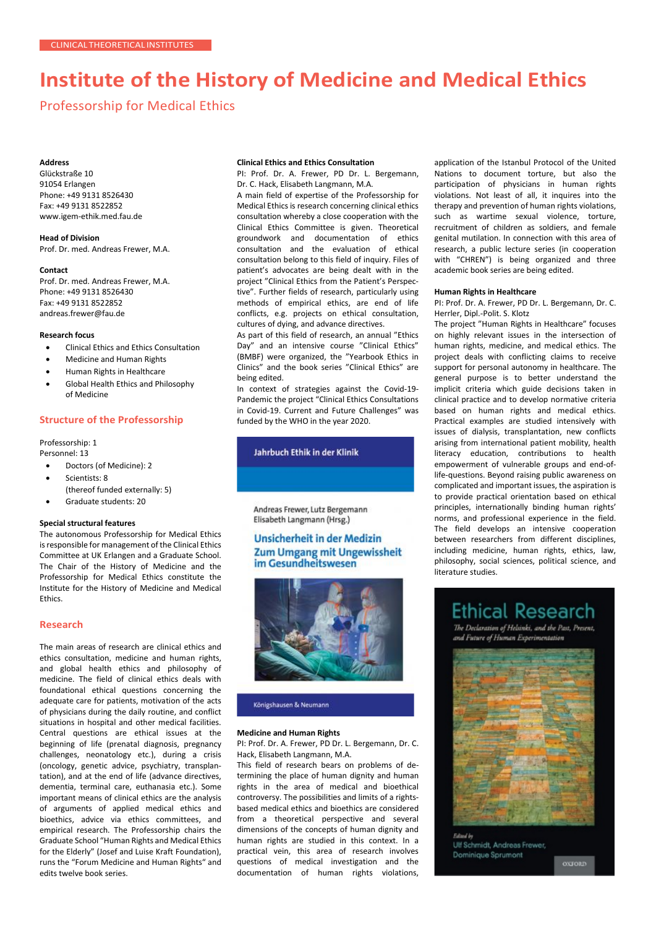# **Institute of the History of Medicine and Medical Ethics**

Professorship for Medical Ethics

### **Address**

Glückstraße 10 91054 Erlangen Phone: +49 9131 8526430 Fax: +49 9131 8522852 [www.igem-ethik.med.fau.de](http://www.igem-ethik.med.fau.de/)

**Head of Division** Prof. Dr. med. Andreas Frewer, M.A.

#### **Contact**

Prof. Dr. med. Andreas Frewer, M.A. Phone: +49 9131 8526430 Fax: +49 9131 8522852 [andreas.frewer@fau.de](mailto:andreas.frewer@fau.de)

### **Research focus**

- Clinical Ethics and Ethics Consultation
- Medicine and Human Rights
- Human Rights in Healthcare
- Global Health Ethics and Philosophy of Medicine

## **Structure of the Professorship**

Professorship: 1 Personnel: 13

- Doctors (of Medicine): 2
- Scientists: 8
- (thereof funded externally: 5)
- Graduate students: 20

## **Special structural features**

The autonomous Professorship for Medical Ethics is responsible for management of the Clinical Ethics Committee at UK Erlangen and a Graduate School. The Chair of the History of Medicine and the Professorship for Medical Ethics constitute the Institute for the History of Medicine and Medical Ethics.

## **Research**

The main areas of research are clinical ethics and ethics consultation, medicine and human rights, and global health ethics and philosophy of medicine. The field of clinical ethics deals with foundational ethical questions concerning the adequate care for patients, motivation of the acts of physicians during the daily routine, and conflict situations in hospital and other medical facilities. Central questions are ethical issues at the beginning of life (prenatal diagnosis, pregnancy challenges, neonatology etc.), during a crisis (oncology, genetic advice, psychiatry, transplantation), and at the end of life (advance directives, dementia, terminal care, euthanasia etc.). Some important means of clinical ethics are the analysis of arguments of applied medical ethics and bioethics, advice via ethics committees, and empirical research. The Professorship chairs the Graduate School "Human Rights and Medical Ethics for the Elderly" (Josef and Luise Kraft Foundation), runs the "Forum Medicine and Human Rights" and edits twelve book series.

#### **Clinical Ethics and Ethics Consultation**

PI: Prof. Dr. A. Frewer, PD Dr. L. Bergemann, Dr. C. Hack, Elisabeth Langmann, M.A.

A main field of expertise of the Professorship for Medical Ethics is research concerning clinical ethics consultation whereby a close cooperation with the Clinical Ethics Committee is given. Theoretical groundwork and documentation of ethics consultation and the evaluation of ethical consultation belong to this field of inquiry. Files of patient's advocates are being dealt with in the project "Clinical Ethics from the Patient's Perspective". Further fields of research, particularly using methods of empirical ethics, are end of life conflicts, e.g. projects on ethical consultation, cultures of dying, and advance directives.

As part of this field of research, an annual "Ethics Day" and an intensive course "Clinical Ethics" (BMBF) were organized, the "Yearbook Ethics in Clinics" and the book series "Clinical Ethics" are being edited.

In context of strategies against the Covid-19- Pandemic the project "Clinical Ethics Consultations in Covid-19. Current and Future Challenges" was funded by the WHO in the year 2020.

Jahrbuch Ethik in der Klinik

Andreas Frewer, Lutz Bergemann Elisabeth Langmann (Hrsg.)

## **Unsicherheit in der Medizin Zum Umgang mit Ungewissheit** im Gesundheitswesen



#### Königshausen & Neumann

## **Medicine and Human Rights**

PI: Prof. Dr. A. Frewer, PD Dr. L. Bergemann, Dr. C. Hack, Elisabeth Langmann, M.A.

This field of research bears on problems of determining the place of human dignity and human rights in the area of medical and bioethical controversy. The possibilities and limits of a rightsbased medical ethics and bioethics are considered from a theoretical perspective and several dimensions of the concepts of human dignity and human rights are studied in this context. In a practical vein, this area of research involves questions of medical investigation and the documentation of human rights violations,

application of the Istanbul Protocol of the United Nations to document torture, but also the participation of physicians in human rights violations. Not least of all, it inquires into the therapy and prevention of human rights violations, such as wartime sexual violence, torture, recruitment of children as soldiers, and female genital mutilation. In connection with this area of research, a public lecture series (in cooperation with "CHREN") is being organized and three academic book series are being edited.

#### **Human Rights in Healthcare**

PI: Prof. Dr. A. Frewer, PD Dr. L. Bergemann, Dr. C. Herrler, Dipl.-Polit. S. Klotz

The project "Human Rights in Healthcare" focuses on highly relevant issues in the intersection of human rights, medicine, and medical ethics. The project deals with conflicting claims to receive support for personal autonomy in healthcare. The general purpose is to better understand the implicit criteria which guide decisions taken in clinical practice and to develop normative criteria based on human rights and medical ethics. Practical examples are studied intensively with issues of dialysis, transplantation, new conflicts arising from international patient mobility, health literacy education, contributions to health empowerment of vulnerable groups and end-oflife-questions. Beyond raising public awareness on complicated and important issues, the aspiration is to provide practical orientation based on ethical principles, internationally binding human rights' norms, and professional experience in the field. The field develops an intensive cooperation between researchers from different disciplines, including medicine, human rights, ethics, law, philosophy, social sciences, political science, and literature studies.

## **Ethical Research**

The Declaration of Helsinki, and the Past, Present, and Future of Human Experimentation



Ulf Schmidt, Andreas Frewer, Dominique Sprumont